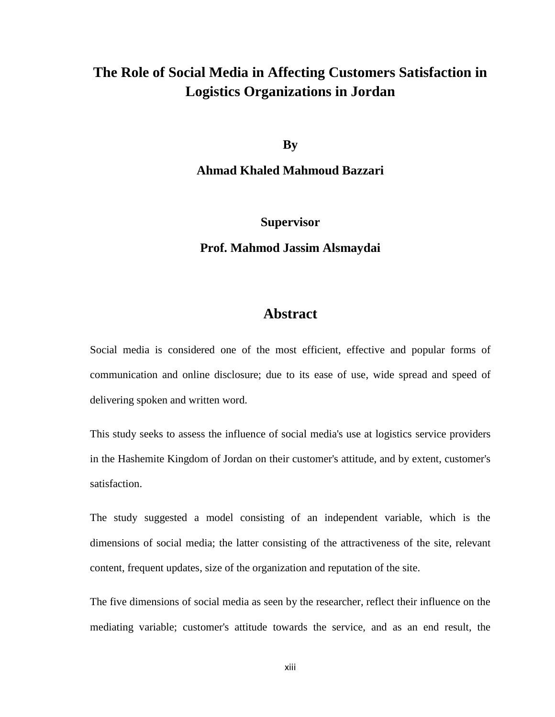## **The Role of Social Media in Affecting Customers Satisfaction in Logistics Organizations in Jordan**

**By**

**Ahmad Khaled Mahmoud Bazzari**

**Supervisor**

**Prof. Mahmod Jassim Alsmaydai**

## **Abstract**

Social media is considered one of the most efficient, effective and popular forms of communication and online disclosure; due to its ease of use, wide spread and speed of delivering spoken and written word.

This study seeks to assess the influence of social media's use at logistics service providers in the Hashemite Kingdom of Jordan on their customer's attitude, and by extent, customer's satisfaction.

The study suggested a model consisting of an independent variable, which is the dimensions of social media; the latter consisting of the attractiveness of the site, relevant content, frequent updates, size of the organization and reputation of the site.

The five dimensions of social media as seen by the researcher, reflect their influence on the mediating variable; customer's attitude towards the service, and as an end result, the